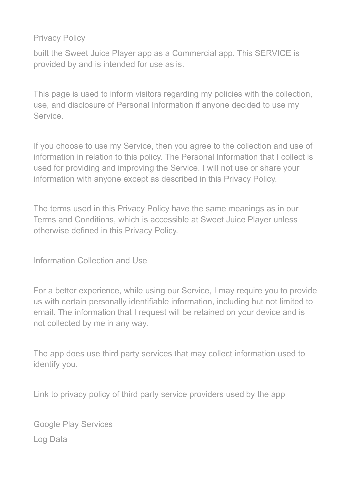Privacy Policy

built the Sweet Juice Player app as a Commercial app. This SERVICE is provided by and is intended for use as is.

This page is used to inform visitors regarding my policies with the collection, use, and disclosure of Personal Information if anyone decided to use my Service.

If you choose to use my Service, then you agree to the collection and use of information in relation to this policy. The Personal Information that I collect is used for providing and improving the Service. I will not use or share your information with anyone except as described in this Privacy Policy.

The terms used in this Privacy Policy have the same meanings as in our Terms and Conditions, which is accessible at Sweet Juice Player unless otherwise defined in this Privacy Policy.

Information Collection and Use

For a better experience, while using our Service, I may require you to provide us with certain personally identifiable information, including but not limited to email. The information that I request will be retained on your device and is not collected by me in any way.

The app does use third party services that may collect information used to identify you.

Link to privacy policy of third party service providers used by the app

Google Play Services Log Data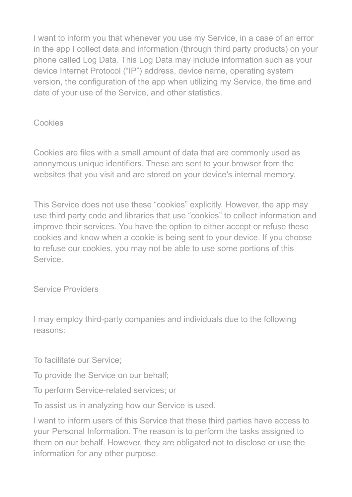I want to inform you that whenever you use my Service, in a case of an error in the app I collect data and information (through third party products) on your phone called Log Data. This Log Data may include information such as your device Internet Protocol ("IP") address, device name, operating system version, the configuration of the app when utilizing my Service, the time and date of your use of the Service, and other statistics.

## Cookies

Cookies are files with a small amount of data that are commonly used as anonymous unique identifiers. These are sent to your browser from the websites that you visit and are stored on your device's internal memory.

This Service does not use these "cookies" explicitly. However, the app may use third party code and libraries that use "cookies" to collect information and improve their services. You have the option to either accept or refuse these cookies and know when a cookie is being sent to your device. If you choose to refuse our cookies, you may not be able to use some portions of this Service.

Service Providers

I may employ third-party companies and individuals due to the following reasons:

To facilitate our Service;

To provide the Service on our behalf;

To perform Service-related services; or

To assist us in analyzing how our Service is used.

I want to inform users of this Service that these third parties have access to your Personal Information. The reason is to perform the tasks assigned to them on our behalf. However, they are obligated not to disclose or use the information for any other purpose.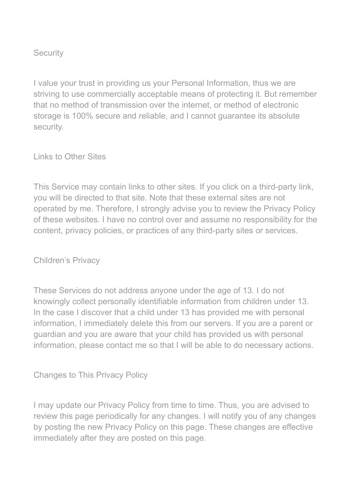## **Security**

I value your trust in providing us your Personal Information, thus we are striving to use commercially acceptable means of protecting it. But remember that no method of transmission over the internet, or method of electronic storage is 100% secure and reliable, and I cannot guarantee its absolute security.

Links to Other Sites

This Service may contain links to other sites. If you click on a third-party link, you will be directed to that site. Note that these external sites are not operated by me. Therefore, I strongly advise you to review the Privacy Policy of these websites. I have no control over and assume no responsibility for the content, privacy policies, or practices of any third-party sites or services.

Children's Privacy

These Services do not address anyone under the age of 13. I do not knowingly collect personally identifiable information from children under 13. In the case I discover that a child under 13 has provided me with personal information, I immediately delete this from our servers. If you are a parent or guardian and you are aware that your child has provided us with personal information, please contact me so that I will be able to do necessary actions.

Changes to This Privacy Policy

I may update our Privacy Policy from time to time. Thus, you are advised to review this page periodically for any changes. I will notify you of any changes by posting the new Privacy Policy on this page. These changes are effective immediately after they are posted on this page.